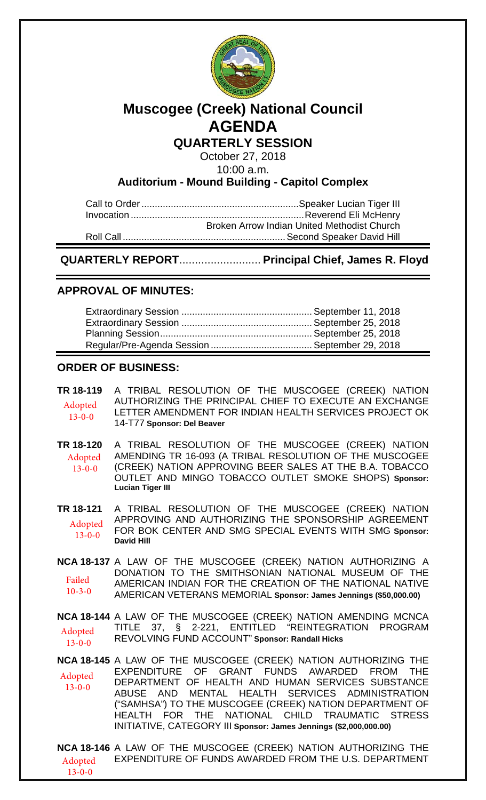

# **Muscogee (Creek) National Council AGENDA**

**QUARTERLY SESSION**

October 27, 2018 10:00 a.m.

**Auditorium - Mound Building - Capitol Complex**

Call to Order...........................................................Speaker Lucian Tiger III Invocation ................................................................. Reverend Eli McHenry Broken Arrow Indian United Methodist Church Roll Call .............................................................Second Speaker David Hill

**QUARTERLY REPORT**.......................... **Principal Chief, James R. Floyd**

## **APPROVAL OF MINUTES:**

## **ORDER OF BUSINESS:**

**TR 18-119** A TRIBAL RESOLUTION OF THE MUSCOGEE (CREEK) NATION AUTHORIZING THE PRINCIPAL CHIEF TO EXECUTE AN EXCHANGE LETTER AMENDMENT FOR INDIAN HEALTH SERVICES PROJECT OK 14-T77 **Sponsor: Del Beaver** Adopted 13-0-0

**TR 18-120** A TRIBAL RESOLUTION OF THE MUSCOGEE (CREEK) NATION AMENDING TR 16-093 (A TRIBAL RESOLUTION OF THE MUSCOGEE (CREEK) NATION APPROVING BEER SALES AT THE B.A. TOBACCO OUTLET AND MINGO TOBACCO OUTLET SMOKE SHOPS) **Sponsor: Lucian Tiger III** Adopted 13-0-0

**TR 18-121** A TRIBAL RESOLUTION OF THE MUSCOGEE (CREEK) NATION APPROVING AND AUTHORIZING THE SPONSORSHIP AGREEMENT FOR BOK CENTER AND SMG SPECIAL EVENTS WITH SMG **Sponsor: David Hill** Adopted 13-0-0

**NCA 18-137** A LAW OF THE MUSCOGEE (CREEK) NATION AUTHORIZING A DONATION TO THE SMITHSONIAN NATIONAL MUSEUM OF THE AMERICAN INDIAN FOR THE CREATION OF THE NATIONAL NATIVE AMERICAN VETERANS MEMORIAL **Sponsor: James Jennings (\$50,000.00)**  Failed 10-3-0

**NCA 18-144** A LAW OF THE MUSCOGEE (CREEK) NATION AMENDING MCNCA TITLE 37, § 2-221, ENTITLED "REINTEGRATION PROGRAM REVOLVING FUND ACCOUNT" **Sponsor: Randall Hicks** Adopted  $13 - 0 - 0$ 

**NCA 18-145** A LAW OF THE MUSCOGEE (CREEK) NATION AUTHORIZING THE EXPENDITURE OF GRANT FUNDS AWARDED FROM THE DEPARTMENT OF HEALTH AND HUMAN SERVICES SUBSTANCE ABUSE AND MENTAL HEALTH SERVICES ADMINISTRATION ("SAMHSA") TO THE MUSCOGEE (CREEK) NATION DEPARTMENT OF HEALTH FOR THE NATIONAL CHILD TRAUMATIC STRESS INITIATIVE, CATEGORY III **Sponsor: James Jennings (\$2,000,000.00)** Adopted 13-0-0

**NCA 18-146** A LAW OF THE MUSCOGEE (CREEK) NATION AUTHORIZING THE EXPENDITURE OF FUNDS AWARDED FROM THE U.S. DEPARTMENT Adopted 13-0-0